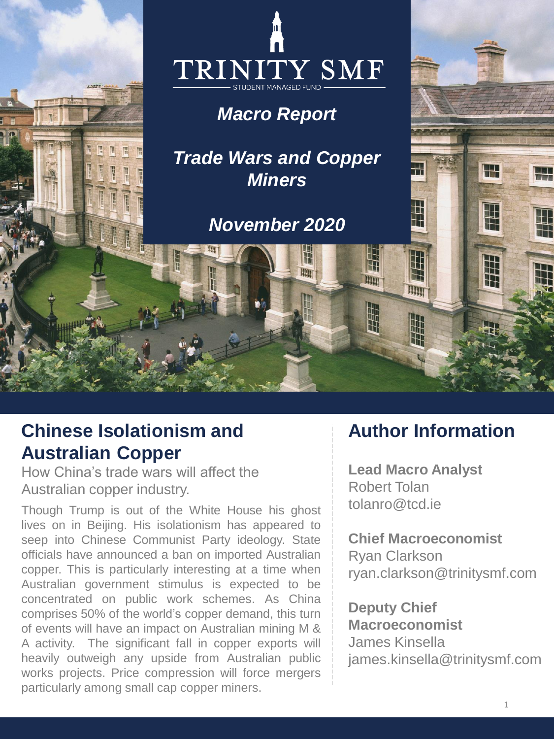

# **Chinese Isolationism and Australian Copper**

How China's trade wars will affect the Australian copper industry.

Though Trump is out of the White House his ghost lives on in Beijing. His isolationism has appeared to seep into Chinese Communist Party ideology. State officials have announced a ban on imported Australian copper. This is particularly interesting at a time when Australian government stimulus is expected to be concentrated on public work schemes. As China comprises 50% of the world's copper demand, this turn of events will have an impact on Australian mining M & A activity. The significant fall in copper exports will heavily outweigh any upside from Australian public works projects. Price compression will force mergers particularly among small cap copper miners.

## **Author Information**

**Lead Macro Analyst** Robert Tolan tolanro@tcd.ie

**Chief Macroeconomist** Ryan Clarkson ryan.clarkson@trinitysmf.com

**Deputy Chief Macroeconomist** James Kinsella james.kinsella@trinitysmf.com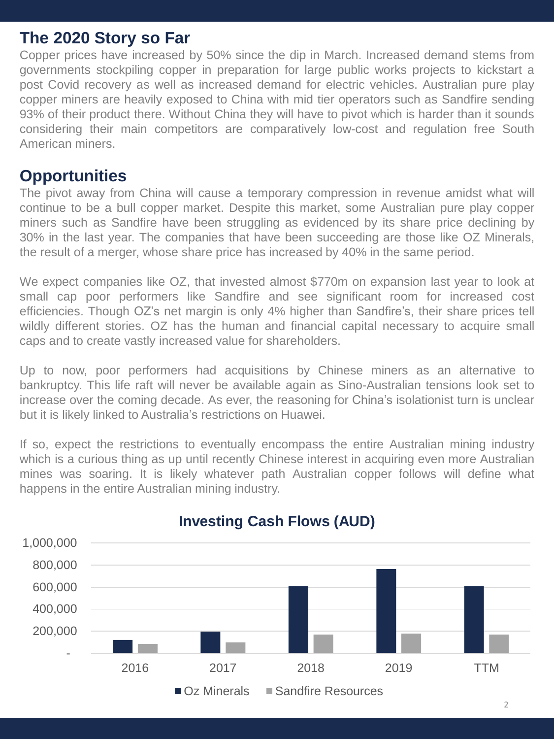### **The 2020 Story so Far**

Copper prices have increased by 50% since the dip in March. Increased demand stems from governments stockpiling copper in preparation for large public works projects to kickstart a post Covid recovery as well as increased demand for electric vehicles. Australian pure play copper miners are heavily exposed to China with mid tier operators such as Sandfire sending 93% of their product there. Without China they will have to pivot which is harder than it sounds considering their main competitors are comparatively low-cost and regulation free South American miners.

#### **Opportunities**

The pivot away from China will cause a temporary compression in revenue amidst what will continue to be a bull copper market. Despite this market, some Australian pure play copper miners such as Sandfire have been struggling as evidenced by its share price declining by 30% in the last year. The companies that have been succeeding are those like OZ Minerals, the result of a merger, whose share price has increased by 40% in the same period.

We expect companies like OZ, that invested almost \$770m on expansion last year to look at small cap poor performers like Sandfire and see significant room for increased cost efficiencies. Though OZ's net margin is only 4% higher than Sandfire's, their share prices tell wildly different stories. OZ has the human and financial capital necessary to acquire small caps and to create vastly increased value for shareholders.

Up to now, poor performers had acquisitions by Chinese miners as an alternative to bankruptcy. This life raft will never be available again as Sino-Australian tensions look set to increase over the coming decade. As ever, the reasoning for China's isolationist turn is unclear but it is likely linked to Australia's restrictions on Huawei.

If so, expect the restrictions to eventually encompass the entire Australian mining industry which is a curious thing as up until recently Chinese interest in acquiring even more Australian mines was soaring. It is likely whatever path Australian copper follows will define what happens in the entire Australian mining industry.



## **Investing Cash Flows (AUD)**